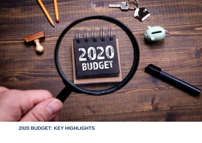

**2020 BUDGET: KEY HIGHLIGHTS**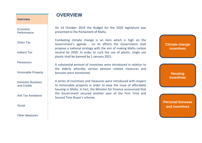Economic **Performance** 

Direct Tax

Indirect Tax

**Pensioners** 

Immovable Property

Domestic Business and Credits

Anti Tax Avoidance

Social

Other Measures

On 14 October 2019 the Budget for the 2020 legislature was presented to the Parliament of Malta.

**OVERVIEW**

Combating climate change is an item which is high on the Government's agenda - on its efforts the Government shall propose a national strategy with the aim of making Malta carbon neutral by 2050. In order to curb the use of plastic, single use plastic shall be banned by 1 January 2021.

A substantial amount of incentives were introduced in relation to the elderly whereby various pension related measures and bonuses were mentioned.

A series of incentives and measures were introduced with respect to immovable property in order to ease the issue of affordable housing in Malta. In fact, the Minister for Finance announced that the Government secured another year of the First Time and Second Time Buyer's scheme.

**Climate change incentives**

> **Housing incentives**

**Personal bonuses and incentives**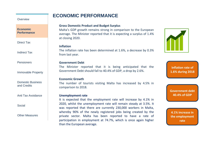### **ECONOMIC PERFORMANCE**

#### **Overview**

#### **Economic Performance**

Direct Tax

Indirect Tax

**Pensioners** 

Immovable Property

Domestic Business and Credits

Anti Tax Avoidance

Social

Other Measures

### **Gross Domestic Product and Budget Surplus**

Malta's GDP growth remains strong in comparison to the European average. The Minister reported that it is expecting a surplus of 1.4% at closing 2020.

#### **Inflation**

The inflation rate has been determined at 1.6%, a decrease by 0.3% from last year.

#### **Government Debt**

The Minister reported that it is being anticipated that the Government Debt should fall to 40.4% of GDP, a drop by 2.6%.

### **Economic Growth**

The number of tourists visiting Malta has increased by 4.5% in comparison to 2018.

### **Unemployment rate**

It is expected that the employment rate will increase by 4.1% in 2020, whilst the unemployment rate will remain steady at 3.5%. It was reported that there are currently 230,000 workers in Malta, whereby 90% of the newly registered jobs being created by the private sector. Malta has been reported to have a rate of participation in employment at 74.7%, which is once again higher than the European average.



**Inflation rate of 1.6% during 2018**

**Government debt 40.4% of GDP**

**4.1% increase in the employment rate**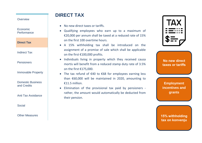Economic **Performance** 

**Direct Tax**

Indirect Tax

**Pensioners** 

Immovable Property

Domestic Business and Credits

Anti Tax Avoidance

Social

### Other Measures

### **DIRECT TAX**

- No new direct taxes or tariffs.
- Qualifying employees who earn up to a maximum of €20,000 per annum shall be taxed at a reduced rate of 15% on the first 100 overtime hours.
- A 15% withholding tax shall be introduced on the assignment of a promise of sale which shall be applicable on the first €100,000 profits.
- Individuals living in property which they received causa mortis will benefit from a reduced stamp duty rate of 3.5% on the first €175,000.
- The tax refund of €40 to €68 for employees earning less than €60,000 will be maintained in 2020, amounting to €11.5 million.
- Elimination of the provisional tax paid by pensioners rather, the amount would automatically be deducted from their pension.

| $ {\bf A}\rangle$ |
|-------------------|
| $\bullet\bullet$  |
|                   |

**No new direct taxes or tariffs**

**Employment incentives and grants**

**15% withholding tax on konvenju**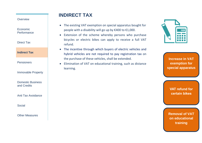Economic **Performance** 

Direct Tax

**Indirect Tax**

Pensioners

Immovable Property

Domestic Business and Credits

Anti Tax Avoidance

**Social** 

Other Measures

# **INDIRECT TAX**

- The existing VAT exemption on special apparatus bought for people with a disability will go up by €400 to €1,000.
- Extension of the scheme whereby persons who purchase bicycles or electric bikes can apply to receive a full VAT refund.
- The incentive through which buyers of electric vehicles and hybrid vehicles are not required to pay registration tax on the purchase of these vehicles, shall be extended.
- Elimination of VAT on educational training, such as distance learning.



**Increase in VAT exemption for special apparatus** 

**VAT refund for certain bikes**

**Removal of VAT on educational training**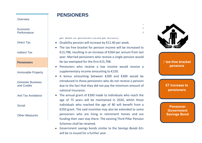# **PENSIONERS**

### **Overview**

Economic **Performance** 

Direct Tax

Indirect Tax

**Pensioners**

Immovable Property

Domestic Business and Credits

Anti Tax Avoidance

Social

Other Measures

per week for pensioners (€364 per annum).

- **•** Disability pension will increase by  $£11.40$  per week.
- The tax free bracket for pension income will be increased to €13,798, resulting in an increase of €364 per annum from last year. Married pensioners who receive a single pension would be tax exempted for the first €15,798.

Pensioners will be granted an additional €3.51 per week,

 $w = \frac{1}{2}$  is exclusive of the additional increase in the  $3.49$ we contain  $\overline{f}$ 

- Pensioners who receive a low income would receive a supplementary income amounting to €150.
- A bonus amounting between €200 and €300 would be introduced to those pensioners who do not receive a pension due to the fact that they did not pay the minimum amount of national insurance.
- The annual grant of €300 made to individuals who reach the age of 75 years will be maintained in 2020, whilst those individuals who reached the age of 80 will benefit from a €350 grant. The said incentive may also be extended to some pensioners who are living in retirement homes and are funding their own stay there. The existing Third Pillar Pension Schemes shall be retained.
- Government savings bonds similar to the *Savings Bonds* 62+ will be re-issued for a further year.



**↑ tax-free bracket pensions**

**€7 increase to pensioners**

**Pensioner Government Savings Bond**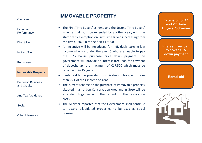Economic **Performance** 

Direct Tax

Indirect Tax

Pensioners

**Immovable Property**

Domestic Business and Credits

Anti Tax Avoidance

Social

Other Measures

# **IMMOVABLE PROPERTY**

- The First Time Buyers' scheme and the Second Time Buyers' scheme shall both be extended by another year, with the stamp duty exemption on First Time Buyer's increasing from the first €150,000 to the first €175,000.
- An incentive will be introduced for individuals earning low income who are under the age 40 who are unable to pay the 10% house purchase price down payment. The government will provide an interest free loan for payment of deposit, up to a maximum of €17,500 which must be repaid within 15 years.
- Rental aid to be provided to individuals who spend more than 25% of their income on rent.
- The current scheme on the purchase of immovable property situated in an Urban Conservation Area and in Gozo will be extended, together with the refund on the restoration costs.
- The Minister reported that the Government shall continue to restore dilapidated properties to be used as social housing.

**Extension of 1 st and 2nd Time Buyers' Schemes**

**Interest free loan to cover 10% down payment**

**Rental aid**

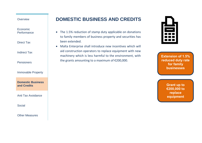Economic Performance

Direct Tax

Indirect Tax

**Pensioners** 

Immovable Property

**Domestic Business and Credits**

Anti Tax Avoidance

**Social** 

Other Measures

# **DOMESTIC BUSINESS AND CREDITS**

- The 1.5% reduction of stamp duty applicable on donations to family members of business property and securities has been extended.
- Malta Enterprise shall introduce new incentives which will aid construction operators to replace equipment with new machinery which is less harmful to the environment, with the grants amounting to a maximum of €200,000.



**Extension of 1.5% reduced duty rate for family businesses**

> **Grant up to €200,000 to replace equipment**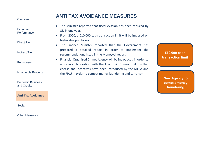Economic **Performance** 

Direct Tax

Indirect Tax

**Pensioners** 

Immovable Property

Domestic Business and Credits

#### **Anti-Tax Avoidance**

**Social** 

Other Measures

# **ANTI TAX AVOIDANCE MEASURES**

- The Minister reported that fiscal evasion has been reduced by 8% in one year.
- From 2020, a €10,000 cash transaction limit will be imposed on high-value purchases.
- The Finance Minister reported that the Government has prepared a detailed report in order to implement the recommendations listed in the Moneyval report.
- Financial Organised Crimes Agency will be introduced in order to work in collaboration with the Economic Crimes Unit. Further checks and incentives have been introduced by the MFSA and the FIAU in order to combat money laundering and terrorism.

**€10,000 cash transaction limit**

**New Agency to combat money laundering**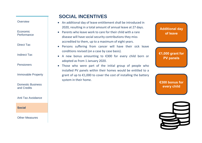Economic **Performance** 

Direct Tax

Indirect Tax

**Pensioners** 

Immovable Property

Domestic Business and Credits

Anti Tax Avoidance

**Social** 

Other Measures

# **SOCIAL INCENTIVES**

- An additional day of leave entitlement shall be introduced in 2020, resulting in a total amount of annual leave at 27 days.
- Parents who leave work to care for their child with a rare disease will have social security contributions they miss accredited to them, up to a maximum of eight years.
- Persons suffering from cancer will have their sick leave conditions revised (on a case by case basis).
- A new bonus amounting to €300 for every child born or adopted as from 1 January 2020.
- Those who were part of the initial group of people who installed PV panels within their homes would be entitled to a grant of up to €1,000 to cover the cost of installing the battery system in their home.

**Additional day of leave**

**€1,000 grant for PV panels**

**€300 bonus for every child**